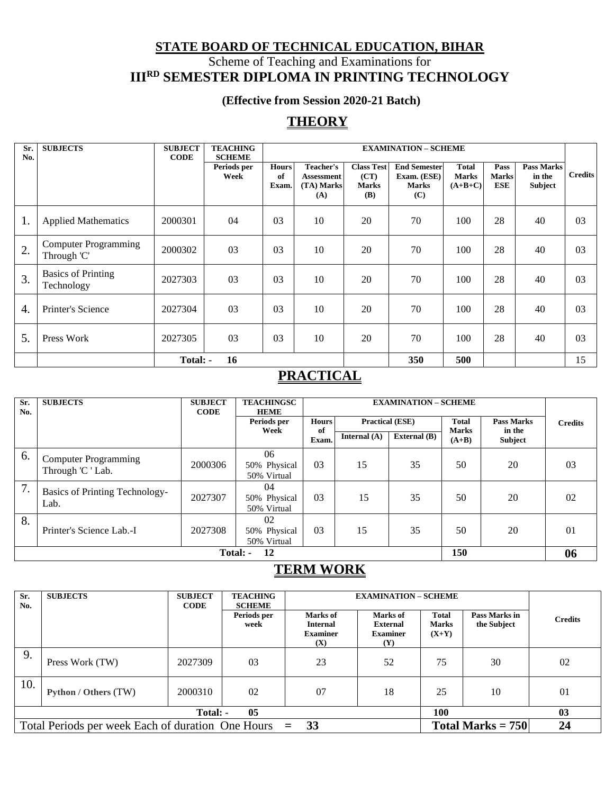## **STATE BOARD OF TECHNICAL EDUCATION, BIHAR** Scheme of Teaching and Examinations for **IIIRD SEMESTER DIPLOMA IN PRINTING TECHNOLOGY**

### **(Effective from Session 2020-21 Batch)**

## **THEORY**

| Sr.<br>No. | <b>SUBJECTS</b>                            | <b>SUBJECT</b><br><b>CODE</b> | <b>TEACHING</b><br><b>SCHEME</b> |                             | <b>EXAMINATION - SCHEME</b>                         |                                                  |                                                           |                                           |                                    |                                        |                |
|------------|--------------------------------------------|-------------------------------|----------------------------------|-----------------------------|-----------------------------------------------------|--------------------------------------------------|-----------------------------------------------------------|-------------------------------------------|------------------------------------|----------------------------------------|----------------|
|            |                                            |                               | Periods per<br>Week              | <b>Hours</b><br>of<br>Exam. | Teacher's<br><b>Assessment</b><br>(TA) Marks<br>(A) | <b>Class Test</b><br>(CT)<br><b>Marks</b><br>(B) | <b>End Semester</b><br>Exam. (ESE)<br><b>Marks</b><br>(C) | <b>Total</b><br><b>Marks</b><br>$(A+B+C)$ | Pass<br><b>Marks</b><br><b>ESE</b> | <b>Pass Marks</b><br>in the<br>Subject | <b>Credits</b> |
| 1.         | <b>Applied Mathematics</b>                 | 2000301                       | 04                               | 03                          | 10                                                  | 20                                               | 70                                                        | 100                                       | 28                                 | 40                                     | 03             |
| 2.         | <b>Computer Programming</b><br>Through 'C' | 2000302                       | 03                               | 03                          | 10                                                  | 20                                               | 70                                                        | 100                                       | 28                                 | 40                                     | 03             |
| 3.         | <b>Basics of Printing</b><br>Technology    | 2027303                       | 03                               | 03                          | 10                                                  | 20                                               | 70                                                        | 100                                       | 28                                 | 40                                     | 03             |
| 4.         | Printer's Science                          | 2027304                       | 03                               | 0 <sub>3</sub>              | 10                                                  | 20                                               | 70                                                        | 100                                       | 28                                 | 40                                     | 03             |
| 5.         | Press Work                                 | 2027305                       | 03                               | 0 <sub>3</sub>              | 10                                                  | 20                                               | 70                                                        | 100                                       | 28                                 | 40                                     | 03             |
|            |                                            | Total: -                      | 16                               |                             |                                                     |                                                  | 350                                                       | 500                                       |                                    |                                        | 15             |

## **PRACTICAL**

| Sr.<br>No. | <b>SUBJECTS</b>                                  | <b>SUBJECT</b><br><b>CODE</b> | <b>TEACHINGSC</b><br><b>HEME</b>  |              | <b>EXAMINATION - SCHEME</b> |                        |                         |                          |                |  |
|------------|--------------------------------------------------|-------------------------------|-----------------------------------|--------------|-----------------------------|------------------------|-------------------------|--------------------------|----------------|--|
|            |                                                  |                               | Periods per                       | <b>Hours</b> |                             | <b>Practical (ESE)</b> | <b>Total</b>            | <b>Pass Marks</b>        | <b>Credits</b> |  |
|            |                                                  |                               | Week                              | of<br>Exam.  | Internal $(A)$              | <b>External</b> (B)    | <b>Marks</b><br>$(A+B)$ | in the<br><b>Subject</b> |                |  |
| 6.         | <b>Computer Programming</b><br>Through 'C ' Lab. | 2000306                       | 06<br>50% Physical<br>50% Virtual | 03           | 15                          | 35                     | 50                      | 20                       | 03             |  |
| 7.         | <b>Basics of Printing Technology-</b><br>Lab.    | 2027307                       | 04<br>50% Physical<br>50% Virtual | 03           | 15                          | 35                     | 50                      | 20                       | 02             |  |
| 8.         | Printer's Science Lab.-I                         | 2027308                       | 02<br>50% Physical<br>50% Virtual | 03           | 15                          | 35                     | 50                      | 20                       | 01             |  |
|            | 150<br>12<br>Total: -                            |                               |                                   |              |                             |                        |                         | 06                       |                |  |

## **TERM WORK**

| Sr.<br>No. | <b>SUBJECTS</b>                                          | <b>SUBJECT</b><br><b>CODE</b> | <b>TEACHING</b><br><b>SCHEME</b> |                                                       | <b>EXAMINATION - SCHEME</b>                           |                                         |                              |                |  |  |
|------------|----------------------------------------------------------|-------------------------------|----------------------------------|-------------------------------------------------------|-------------------------------------------------------|-----------------------------------------|------------------------------|----------------|--|--|
|            |                                                          |                               | Periods per<br>week              | Marks of<br><b>Internal</b><br><b>Examiner</b><br>(X) | Marks of<br><b>External</b><br><b>Examiner</b><br>(Y) | <b>Total</b><br><b>Marks</b><br>$(X+Y)$ | Pass Marks in<br>the Subject | <b>Credits</b> |  |  |
| 9.         | Press Work (TW)                                          | 2027309                       | 03                               | 23                                                    | 52                                                    | 75                                      | 30                           | 02             |  |  |
| 10.        | Python / Others (TW)                                     | 2000310                       | 02                               | 07                                                    | 18                                                    | 25                                      | 10                           | 01             |  |  |
|            |                                                          | Total: -                      | 05                               |                                                       |                                                       | 100                                     |                              | 0 <sub>3</sub> |  |  |
|            | Total Periods per week Each of duration One Hours $= 33$ |                               |                                  |                                                       |                                                       |                                         | Total Marks = $750$          | 24             |  |  |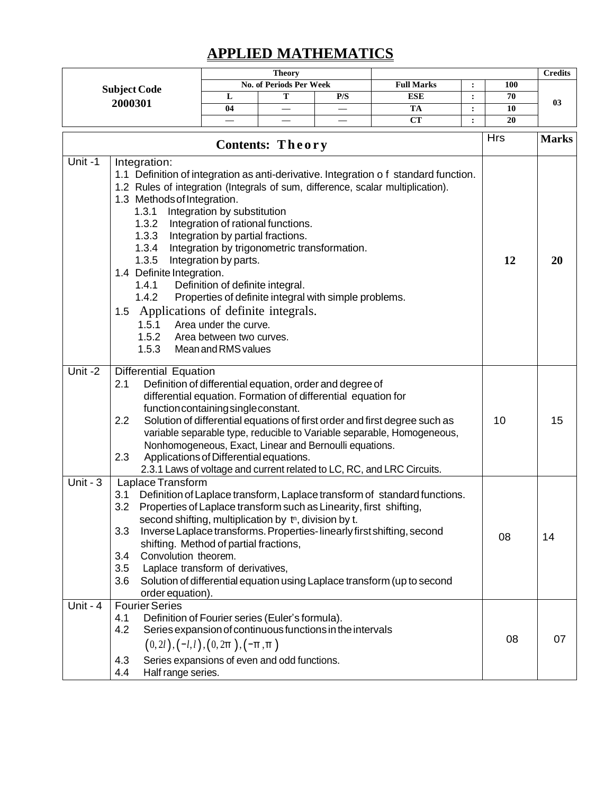# **APPLIED MATHEMATICS**

|            |                                                                                                                                                                                                                                                                                                                       |                                                                                                                                                                                                                                                 | <b>Theory</b>                  |                                                                                                                                                                                     |                                                                                                                                                                                                                                |                |     | <b>Credits</b> |
|------------|-----------------------------------------------------------------------------------------------------------------------------------------------------------------------------------------------------------------------------------------------------------------------------------------------------------------------|-------------------------------------------------------------------------------------------------------------------------------------------------------------------------------------------------------------------------------------------------|--------------------------------|-------------------------------------------------------------------------------------------------------------------------------------------------------------------------------------|--------------------------------------------------------------------------------------------------------------------------------------------------------------------------------------------------------------------------------|----------------|-----|----------------|
|            | <b>Subject Code</b>                                                                                                                                                                                                                                                                                                   |                                                                                                                                                                                                                                                 | <b>No. of Periods Per Week</b> |                                                                                                                                                                                     | <b>Full Marks</b>                                                                                                                                                                                                              | :              | 100 |                |
|            | 2000301                                                                                                                                                                                                                                                                                                               | L                                                                                                                                                                                                                                               | Т                              | P/S                                                                                                                                                                                 | <b>ESE</b>                                                                                                                                                                                                                     | $\ddot{\cdot}$ | 70  | 03             |
|            |                                                                                                                                                                                                                                                                                                                       | 04                                                                                                                                                                                                                                              |                                |                                                                                                                                                                                     | <b>TA</b>                                                                                                                                                                                                                      | $\ddot{\cdot}$ | 10  |                |
|            |                                                                                                                                                                                                                                                                                                                       |                                                                                                                                                                                                                                                 |                                |                                                                                                                                                                                     | CT                                                                                                                                                                                                                             | :              | 20  |                |
|            | <b>Hrs</b><br>Contents: Theory                                                                                                                                                                                                                                                                                        |                                                                                                                                                                                                                                                 |                                |                                                                                                                                                                                     |                                                                                                                                                                                                                                |                |     | <b>Marks</b>   |
| Unit-1     | Integration:<br>1.2 Rules of integration (Integrals of sum, difference, scalar multiplication).<br>1.3 Methods of Integration.<br>1.3.1<br>1.3.2<br>1.3.3<br>1.3.4<br>1.3.5<br>1.4 Definite Integration.<br>1.4.1<br>1.4.2<br>Applications of definite integrals.<br>1.5<br>1.5.1<br>1.5.2<br>1.5.3                   | Integration by substitution<br>Integration of rational functions.<br>Integration by partial fractions.<br>Integration by parts.<br>Definition of definite integral.<br>Area under the curve.<br>Area between two curves.<br>Mean and RMS values |                                | Integration by trigonometric transformation.<br>Properties of definite integral with simple problems.                                                                               | 1.1 Definition of integration as anti-derivative. Integration of standard function.                                                                                                                                            |                | 12  | 20             |
| Unit $-2$  | <b>Differential Equation</b><br>2.1<br>function containing single constant.<br>2.2<br>Applications of Differential equations.<br>2.3                                                                                                                                                                                  |                                                                                                                                                                                                                                                 |                                | Definition of differential equation, order and degree of<br>differential equation. Formation of differential equation for<br>Nonhomogeneous, Exact, Linear and Bernoulli equations. | Solution of differential equations of first order and first degree such as<br>variable separable type, reducible to Variable separable, Homogeneous,<br>2.3.1 Laws of voltage and current related to LC, RC, and LRC Circuits. |                | 10  | 15             |
| Unit - $3$ | Laplace Transform<br>3.1<br>Properties of Laplace transform such as Linearity, first shifting,<br>3.2<br>second shifting, multiplication by the division by t.<br>3.3<br>shifting. Method of partial fractions,<br>Convolution theorem.<br>3.4<br>Laplace transform of derivatives,<br>3.5<br>3.6<br>order equation). |                                                                                                                                                                                                                                                 |                                |                                                                                                                                                                                     | Definition of Laplace transform, Laplace transform of standard functions.<br>Inverse Laplace transforms. Properties-linearly first shifting, second<br>Solution of differential equation using Laplace transform (up to second |                | 08  | 14             |
| Unit - $4$ | <b>Fourier Series</b><br>4.1<br>Definition of Fourier series (Euler's formula).<br>4.2<br>$(0, 2l), (-l, l), (0, 2\pi), (-\pi, \pi)$<br>Series expansions of even and odd functions.<br>4.3<br>Half range series.<br>4.4                                                                                              |                                                                                                                                                                                                                                                 |                                | Series expansion of continuous functions in the intervals                                                                                                                           |                                                                                                                                                                                                                                |                | 08  | 07             |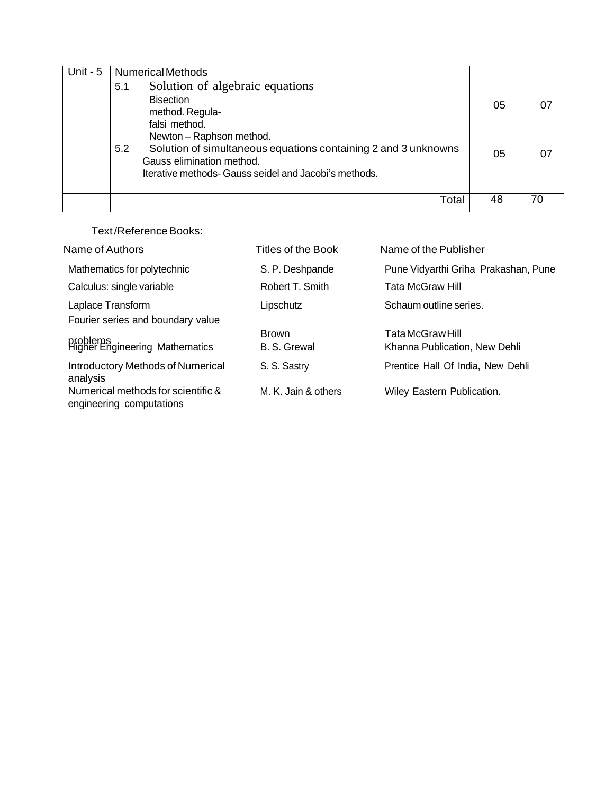| Unit - $5$ | <b>Numerical Methods</b>                                                                                                                                                                |    |    |
|------------|-----------------------------------------------------------------------------------------------------------------------------------------------------------------------------------------|----|----|
|            | Solution of algebraic equations<br>5.1                                                                                                                                                  |    |    |
|            | <b>Bisection</b><br>method. Regula-<br>falsi method.                                                                                                                                    | 05 | 07 |
|            | Newton - Raphson method.<br>Solution of simultaneous equations containing 2 and 3 unknowns<br>5.2<br>Gauss elimination method.<br>Iterative methods- Gauss seidel and Jacobi's methods. | 05 | 07 |
|            | Total                                                                                                                                                                                   | 48 | 70 |

Text/ReferenceBooks:

| Name of Authors                                                | Titles of the Book           | Name of the Publisher                             |
|----------------------------------------------------------------|------------------------------|---------------------------------------------------|
| Mathematics for polytechnic                                    | S. P. Deshpande              | Pune Vidyarthi Griha Prakashan, Pune              |
| Calculus: single variable                                      | Robert T. Smith              | Tata McGraw Hill                                  |
| Laplace Transform<br>Fourier series and boundary value         | Lipschutz                    | Schaum outline series.                            |
| problems<br>Higher Engineering Mathematics                     | <b>Brown</b><br>B. S. Grewal | Tata McGraw Hill<br>Khanna Publication, New Dehli |
| <b>Introductory Methods of Numerical</b><br>analysis           | S. S. Sastry                 | Prentice Hall Of India, New Dehli                 |
| Numerical methods for scientific &<br>engineering computations | M. K. Jain & others          | Wiley Eastern Publication.                        |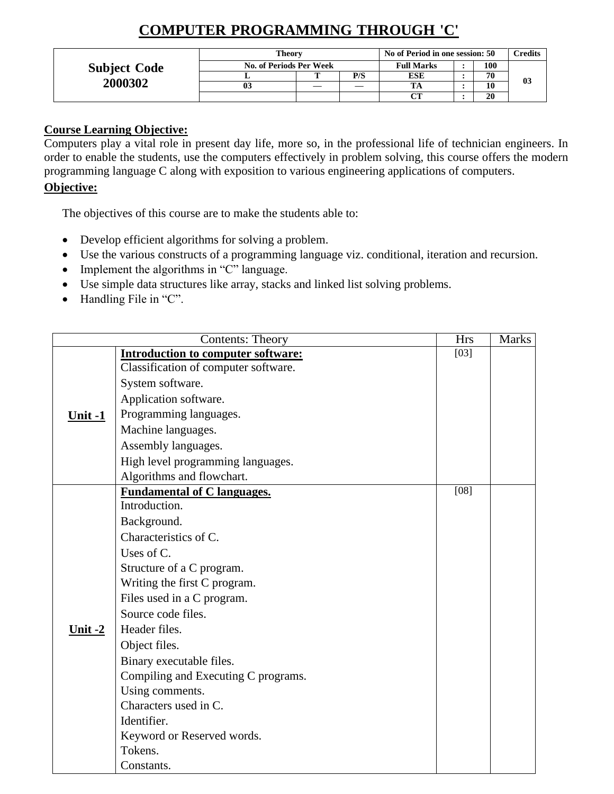# **COMPUTER PROGRAMMING THROUGH 'C'**

|                     | Theory                  | No of Period in one session: 50 |            |     | Credits |    |
|---------------------|-------------------------|---------------------------------|------------|-----|---------|----|
| <b>Subject Code</b> | No. of Periods Per Week | <b>Full Marks</b>               |            | 100 |         |    |
|                     |                         | P/S                             | <b>ESE</b> |     | 70      | 03 |
| 2000302             | 03                      |                                 | TA         |     | 10      |    |
|                     |                         |                                 |            |     | 20      |    |

### **Course Learning Objective:**

Computers play a vital role in present day life, more so, in the professional life of technician engineers. In order to enable the students, use the computers effectively in problem solving, this course offers the modern programming language C along with exposition to various engineering applications of computers.

### **Objective:**

The objectives of this course are to make the students able to:

- Develop efficient algorithms for solving a problem.
- Use the various constructs of a programming language viz. conditional, iteration and recursion.
- Implement the algorithms in "C" language.
- Use simple data structures like array, stacks and linked list solving problems.
- Handling File in "C".

|           | <b>Contents: Theory</b>                   | <b>Hrs</b> | <b>Marks</b> |
|-----------|-------------------------------------------|------------|--------------|
|           | <b>Introduction to computer software:</b> | $[03]$     |              |
|           | Classification of computer software.      |            |              |
|           | System software.                          |            |              |
|           | Application software.                     |            |              |
| Unit $-1$ | Programming languages.                    |            |              |
|           | Machine languages.                        |            |              |
|           | Assembly languages.                       |            |              |
|           | High level programming languages.         |            |              |
|           | Algorithms and flowchart.                 |            |              |
|           | <b>Fundamental of C languages.</b>        | $[08]$     |              |
|           | Introduction.                             |            |              |
|           | Background.                               |            |              |
|           | Characteristics of C.                     |            |              |
|           | Uses of C.                                |            |              |
|           | Structure of a C program.                 |            |              |
|           | Writing the first C program.              |            |              |
|           | Files used in a C program.                |            |              |
|           | Source code files.                        |            |              |
| Unit $-2$ | Header files.                             |            |              |
|           | Object files.                             |            |              |
|           | Binary executable files.                  |            |              |
|           | Compiling and Executing C programs.       |            |              |
|           | Using comments.                           |            |              |
|           | Characters used in C.                     |            |              |
|           | Identifier.                               |            |              |
|           | Keyword or Reserved words.                |            |              |
|           | Tokens.                                   |            |              |
|           | Constants.                                |            |              |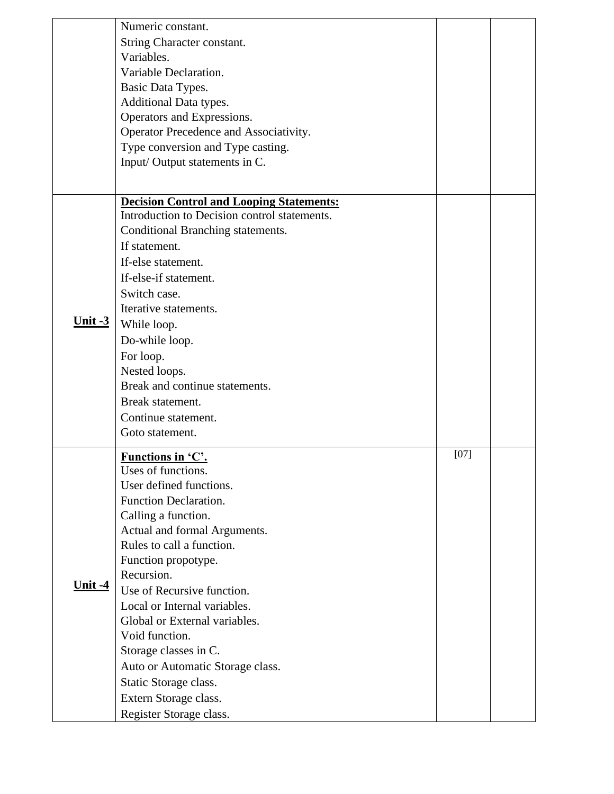|                      | Numeric constant.                                         |        |  |
|----------------------|-----------------------------------------------------------|--------|--|
|                      | String Character constant.                                |        |  |
|                      | Variables.                                                |        |  |
|                      | Variable Declaration.                                     |        |  |
|                      | Basic Data Types.                                         |        |  |
|                      | Additional Data types.                                    |        |  |
|                      | Operators and Expressions.                                |        |  |
|                      | Operator Precedence and Associativity.                    |        |  |
|                      | Type conversion and Type casting.                         |        |  |
|                      | Input/Output statements in C.                             |        |  |
|                      |                                                           |        |  |
|                      |                                                           |        |  |
|                      | <b>Decision Control and Looping Statements:</b>           |        |  |
|                      | Introduction to Decision control statements.              |        |  |
|                      | Conditional Branching statements.                         |        |  |
|                      | If statement.                                             |        |  |
|                      | If-else statement.                                        |        |  |
|                      | If-else-if statement.                                     |        |  |
|                      | Switch case.                                              |        |  |
|                      | Iterative statements.                                     |        |  |
| Unit $-3$            | While loop.                                               |        |  |
|                      | Do-while loop.                                            |        |  |
|                      | For loop.                                                 |        |  |
|                      | Nested loops.                                             |        |  |
|                      | Break and continue statements.                            |        |  |
|                      | Break statement.                                          |        |  |
|                      | Continue statement.                                       |        |  |
|                      | Goto statement.                                           |        |  |
|                      |                                                           | $[07]$ |  |
|                      | <b>Functions in 'C'.</b>                                  |        |  |
|                      | Uses of functions.                                        |        |  |
|                      | User defined functions.                                   |        |  |
|                      | <b>Function Declaration.</b>                              |        |  |
|                      | Calling a function.                                       |        |  |
|                      | Actual and formal Arguments.<br>Rules to call a function. |        |  |
|                      |                                                           |        |  |
|                      | Function propotype.<br>Recursion.                         |        |  |
| <u><b>Unit-4</b></u> |                                                           |        |  |
|                      | Use of Recursive function.                                |        |  |
|                      | Local or Internal variables.                              |        |  |
|                      | Global or External variables.                             |        |  |
|                      | Void function.                                            |        |  |
|                      | Storage classes in C.                                     |        |  |
|                      | Auto or Automatic Storage class.                          |        |  |
|                      | Static Storage class.                                     |        |  |
|                      | Extern Storage class.                                     |        |  |
|                      | Register Storage class.                                   |        |  |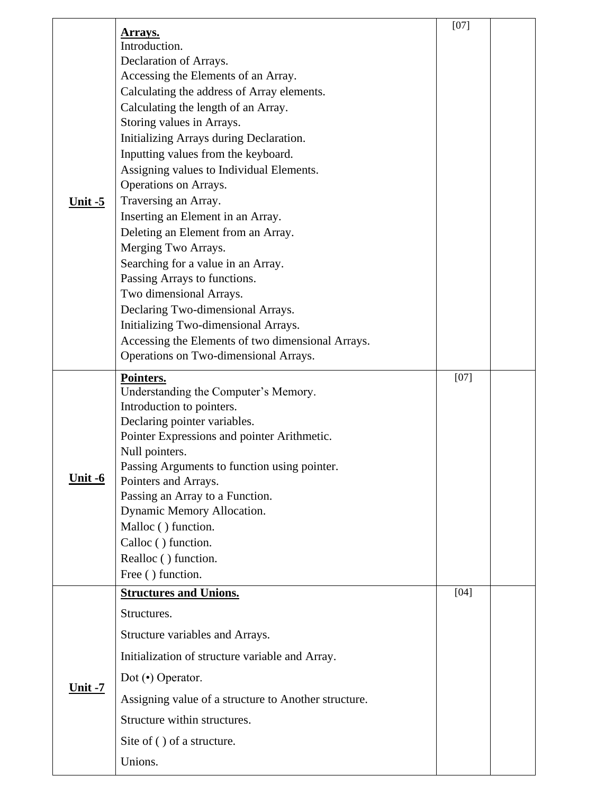|                       |                                                                      | $[07]$ |  |
|-----------------------|----------------------------------------------------------------------|--------|--|
|                       | Arrays.                                                              |        |  |
|                       | Introduction.                                                        |        |  |
|                       | Declaration of Arrays.<br>Accessing the Elements of an Array.        |        |  |
|                       | Calculating the address of Array elements.                           |        |  |
|                       | Calculating the length of an Array.                                  |        |  |
|                       | Storing values in Arrays.                                            |        |  |
|                       | Initializing Arrays during Declaration.                              |        |  |
|                       | Inputting values from the keyboard.                                  |        |  |
|                       | Assigning values to Individual Elements.                             |        |  |
| Unit $-5$             | Operations on Arrays.                                                |        |  |
|                       | Traversing an Array.                                                 |        |  |
|                       | Inserting an Element in an Array.                                    |        |  |
|                       | Deleting an Element from an Array.                                   |        |  |
|                       | Merging Two Arrays.                                                  |        |  |
|                       | Searching for a value in an Array.                                   |        |  |
|                       | Passing Arrays to functions.                                         |        |  |
|                       | Two dimensional Arrays.                                              |        |  |
|                       | Declaring Two-dimensional Arrays.                                    |        |  |
|                       | Initializing Two-dimensional Arrays.                                 |        |  |
|                       | Accessing the Elements of two dimensional Arrays.                    |        |  |
|                       | Operations on Two-dimensional Arrays.                                |        |  |
|                       | Pointers.                                                            | $[07]$ |  |
|                       | Understanding the Computer's Memory.                                 |        |  |
|                       | Introduction to pointers.                                            |        |  |
|                       | Declaring pointer variables.                                         |        |  |
|                       | Pointer Expressions and pointer Arithmetic.                          |        |  |
|                       | Null pointers.                                                       |        |  |
| <u><b>Unit -6</b></u> | Passing Arguments to function using pointer.<br>Pointers and Arrays. |        |  |
|                       | Passing an Array to a Function.                                      |        |  |
|                       | Dynamic Memory Allocation.                                           |        |  |
|                       | Malloc () function.                                                  |        |  |
|                       | Calloc () function.                                                  |        |  |
|                       | Realloc () function.                                                 |        |  |
|                       | Free () function.                                                    |        |  |
|                       | <b>Structures and Unions.</b>                                        | $[04]$ |  |
|                       | Structures.                                                          |        |  |
|                       | Structure variables and Arrays.                                      |        |  |
|                       | Initialization of structure variable and Array.                      |        |  |
| <u><b>Unit -7</b></u> | Dot $\left(\bullet\right)$ Operator.                                 |        |  |
|                       | Assigning value of a structure to Another structure.                 |        |  |
|                       | Structure within structures.                                         |        |  |
|                       | Site of () of a structure.                                           |        |  |
|                       | Unions.                                                              |        |  |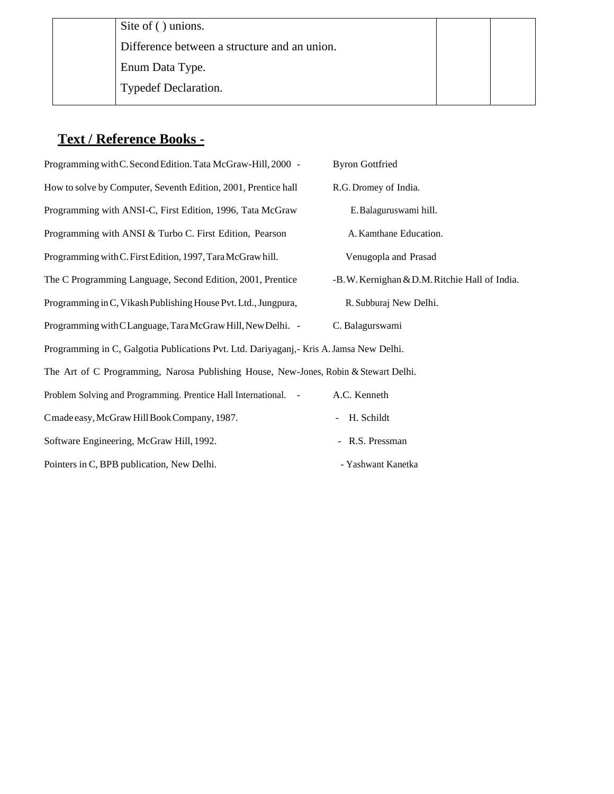Site of ( ) unions. Difference between a structure and an union. ➢ Enum Data Type. ➢ Typedef Declaration.

## **Text / Reference Books -**

Programming with C. Second Edition. Tata McGraw-Hill, 2000 - Byron Gottfried How to solve by Computer, Seventh Edition, 2001, Prentice hall R.G. Dromey of India. Programming with ANSI-C, First Edition, 1996, Tata McGraw E.Balaguruswami hill. Programming with ANSI & Turbo C. First Edition, Pearson A. Kamthane Education. Programming withC.FirstEdition, 1997,TaraMcGrawhill. Venugopla and Prasad The C Programming Language, Second Edition, 2001, Prentice -B.W. Kernighan & D.M. Ritchie Hall of India. Programming in C, Vikash Publishing House Pvt. Ltd., Jungpura, R. Subburaj New Delhi. Programming with CLanguage, Tara McGraw Hill, New Delhi. - C. Balagurswami Programming in C, Galgotia Publications Pvt. Ltd. Dariyaganj,- Kris A.Jamsa New Delhi. The Art of C Programming, Narosa Publishing House, New-Jones, Robin & Stewart Delhi. Problem Solving and Programming. Prentice Hall International. - A.C. Kenneth Cmade easy, McGraw Hill Book Company, 1987. - H. Schildt Software Engineering, McGraw Hill, 1992. - R.S. Pressman Pointers in C, BPB publication, New Delhi. - Yashwant Kanetka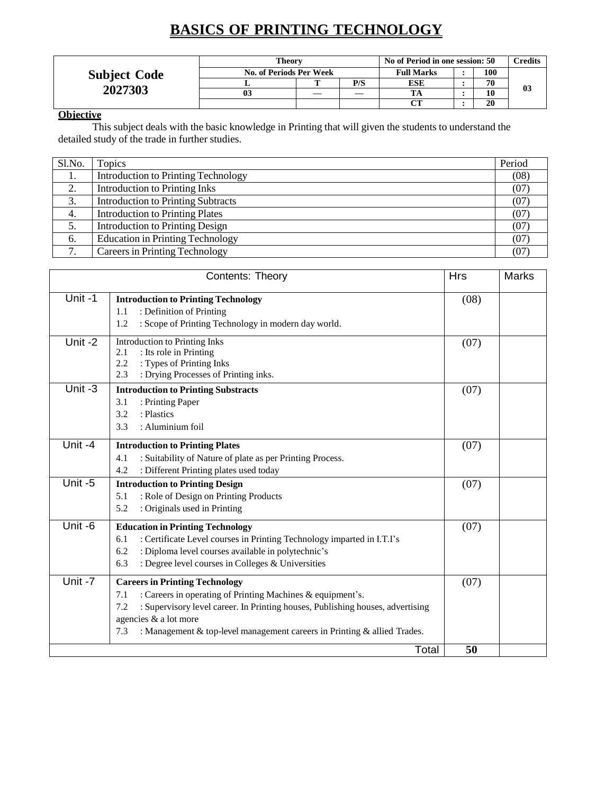# **BASICS OF PRINTING TECHNOLOGY**

|                     | <b>Theory</b> | No of Period in one session: 50 |     | Credits           |     |    |
|---------------------|---------------|---------------------------------|-----|-------------------|-----|----|
| <b>Subject Code</b> |               | No. of Periods Per Week         |     | <b>Full Marks</b> | 100 |    |
|                     |               |                                 | P/S | <b>ESE</b>        | 70  |    |
| 2027303             | 03            |                                 |     |                   | 10  | 03 |
|                     |               |                                 |     |                   | 20  |    |

### **Objective**

This subject deals with the basic knowledge in Printing that will given the students to understand the detailed study of the trade in further studies.

| Sl.No.        | Topics                                     | Period |
|---------------|--------------------------------------------|--------|
| 1.            | <b>Introduction to Printing Technology</b> | (08)   |
| 2.            | <b>Introduction to Printing Inks</b>       | (07)   |
| 3.            | <b>Introduction to Printing Subtracts</b>  | (07)   |
| 4.            | <b>Introduction to Printing Plates</b>     | (07    |
| 5.            | <b>Introduction to Printing Design</b>     | (07)   |
| 6.            | <b>Education in Printing Technology</b>    | (07)   |
| $\mathcal{L}$ | <b>Careers in Printing Technology</b>      | (07    |

|           | Contents: Theory                                                                                                                                                                                                                                                                                                | <b>Hrs</b> | <b>Marks</b> |
|-----------|-----------------------------------------------------------------------------------------------------------------------------------------------------------------------------------------------------------------------------------------------------------------------------------------------------------------|------------|--------------|
| Unit-1    | <b>Introduction to Printing Technology</b><br>: Definition of Printing<br>1.1<br>: Scope of Printing Technology in modern day world.<br>1.2                                                                                                                                                                     | (08)       |              |
| Unit $-2$ | Introduction to Printing Inks<br>: Its role in Printing<br>2.1<br>: Types of Printing Inks<br>2.2<br>: Drying Processes of Printing inks.<br>2.3                                                                                                                                                                | (07)       |              |
| Unit -3   | <b>Introduction to Printing Substracts</b><br>: Printing Paper<br>3.1<br>: Plastics<br>3.2<br>: Aluminium foil<br>3.3                                                                                                                                                                                           | (07)       |              |
| Unit -4   | <b>Introduction to Printing Plates</b><br>: Suitability of Nature of plate as per Printing Process.<br>4.1<br>4.2<br>: Different Printing plates used today                                                                                                                                                     | (07)       |              |
| Unit-5    | <b>Introduction to Printing Design</b><br>: Role of Design on Printing Products<br>5.1<br>: Originals used in Printing<br>5.2                                                                                                                                                                                   | (07)       |              |
| Unit -6   | <b>Education in Printing Technology</b><br>: Certificate Level courses in Printing Technology imparted in I.T.I's<br>6.1<br>: Diploma level courses available in polytechnic's<br>6.2<br>: Degree level courses in Colleges & Universities<br>6.3                                                               | (07)       |              |
| Unit -7   | <b>Careers in Printing Technology</b><br>: Careers in operating of Printing Machines & equipment's.<br>7.1<br>: Supervisory level career. In Printing houses, Publishing houses, advertising<br>7.2<br>agencies & a lot more<br>7.3<br>: Management & top-level management careers in Printing & allied Trades. | (07)       |              |
|           | Total                                                                                                                                                                                                                                                                                                           | 50         |              |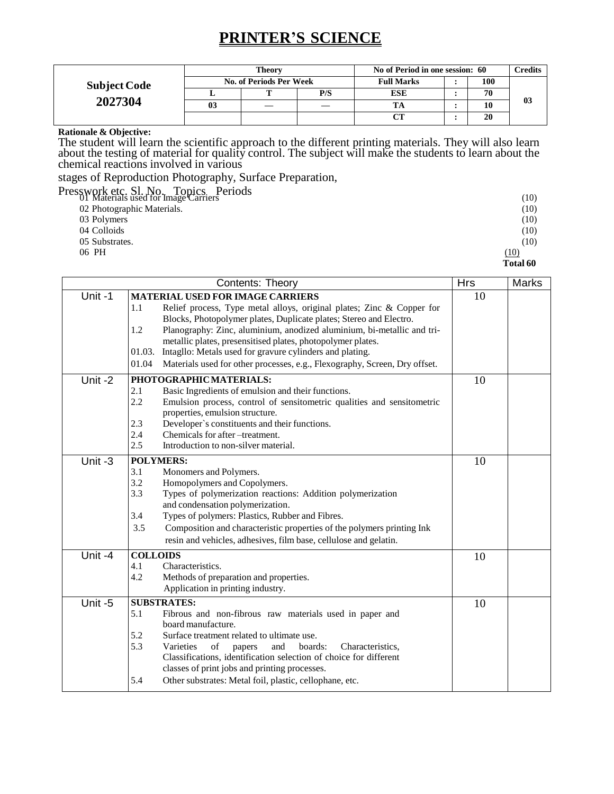# **PRINTER'S SCIENCE**

|                     | Theory |                         |     | No of Period in one session: 60 |  |     | Credits |
|---------------------|--------|-------------------------|-----|---------------------------------|--|-----|---------|
| <b>Subject Code</b> |        | No. of Periods Per Week |     | <b>Full Marks</b>               |  | 100 |         |
|                     |        |                         | P/S | <b>ESE</b>                      |  | 70  |         |
| 2027304             | 03     |                         |     |                                 |  | 10  | 03      |
|                     |        |                         |     | CТ                              |  | 20  |         |

#### **Rationale & Objective:**

The student will learn the scientific approach to the different printing materials. They will also learn about the testing of material for quality control. The subject will make the students to learn about the chemical reactions involved in various

stages of Reproduction Photography, Surface Preparation,

| Presswork etc. Sl. No. Topics. Periods<br>Materials used for Image Carriers | (10)     |
|-----------------------------------------------------------------------------|----------|
| 02 Photographic Materials.                                                  | (10)     |
| 03 Polymers                                                                 | (10)     |
| 04 Colloids                                                                 | (10)     |
| 05 Substrates.                                                              | (10)     |
| 06 PH                                                                       | (10)     |
|                                                                             | Total 60 |

|         | Hrs             | <b>Marks</b>                                                               |    |  |
|---------|-----------------|----------------------------------------------------------------------------|----|--|
| Unit-1  |                 | <b>MATERIAL USED FOR IMAGE CARRIERS</b>                                    | 10 |  |
|         | 1.1             | Relief process, Type metal alloys, original plates; Zinc & Copper for      |    |  |
|         |                 | Blocks, Photopolymer plates, Duplicate plates; Stereo and Electro.         |    |  |
|         | 1.2             | Planography: Zinc, aluminium, anodized aluminium, bi-metallic and tri-     |    |  |
|         |                 | metallic plates, presensitised plates, photopolymer plates.                |    |  |
|         | 01.03.          | Intagllo: Metals used for gravure cylinders and plating.                   |    |  |
|         | 01.04           | Materials used for other processes, e.g., Flexography, Screen, Dry offset. |    |  |
| Unit-2  |                 | PHOTOGRAPHICMATERIALS:                                                     | 10 |  |
|         | 2.1             | Basic Ingredients of emulsion and their functions.                         |    |  |
|         | 2.2             | Emulsion process, control of sensitometric qualities and sensitometric     |    |  |
|         |                 | properties, emulsion structure.                                            |    |  |
|         | 2.3             | Developer's constituents and their functions.                              |    |  |
|         | 2.4             | Chemicals for after -treatment.                                            |    |  |
|         | 2.5             | Introduction to non-silver material.                                       |    |  |
| Unit-3  |                 | <b>POLYMERS:</b>                                                           | 10 |  |
|         | 3.1             | Monomers and Polymers.                                                     |    |  |
|         | 3.2             | Homopolymers and Copolymers.                                               |    |  |
|         | 3.3             | Types of polymerization reactions: Addition polymerization                 |    |  |
|         |                 | and condensation polymerization.                                           |    |  |
|         | 3.4             | Types of polymers: Plastics, Rubber and Fibres.                            |    |  |
|         | 3.5             | Composition and characteristic properties of the polymers printing Ink     |    |  |
|         |                 | resin and vehicles, adhesives, film base, cellulose and gelatin.           |    |  |
| Unit -4 | <b>COLLOIDS</b> |                                                                            | 10 |  |
|         | 4.1             | Characteristics.                                                           |    |  |
|         | 4.2             | Methods of preparation and properties.                                     |    |  |
|         |                 | Application in printing industry.                                          |    |  |
| Unit-5  |                 | <b>SUBSTRATES:</b>                                                         | 10 |  |
|         | 5.1             | Fibrous and non-fibrous raw materials used in paper and                    |    |  |
|         |                 | board manufacture.                                                         |    |  |
|         | 5.2             | Surface treatment related to ultimate use.                                 |    |  |
|         | 5.3             | Varieties<br>of<br>and<br>boards:<br>Characteristics,<br>papers            |    |  |
|         |                 | Classifications, identification selection of choice for different          |    |  |
|         |                 | classes of print jobs and printing processes.                              |    |  |
|         | 5.4             | Other substrates: Metal foil, plastic, cellophane, etc.                    |    |  |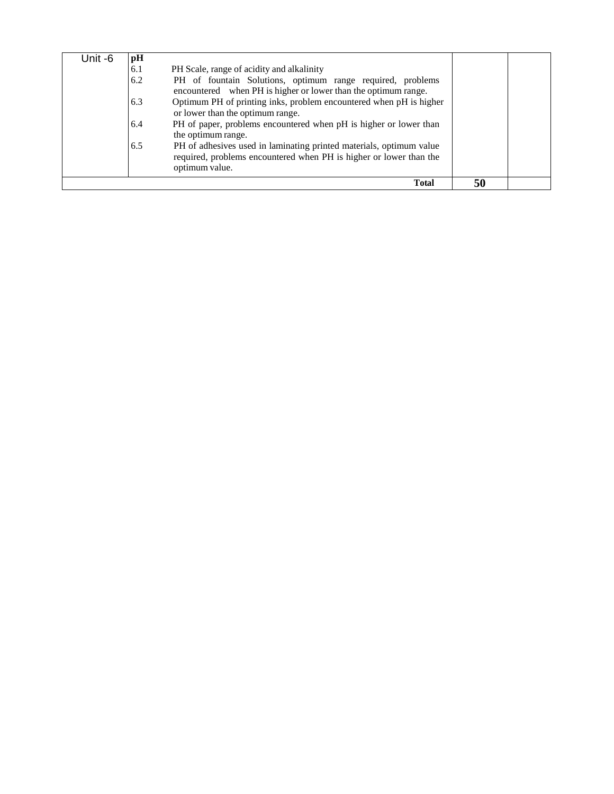| Unit -6 | pH  |                                                                                                                                                             |    |  |
|---------|-----|-------------------------------------------------------------------------------------------------------------------------------------------------------------|----|--|
|         | 6.1 | PH Scale, range of acidity and alkalinity                                                                                                                   |    |  |
|         | 6.2 | PH of fountain Solutions, optimum range required, problems<br>encountered when PH is higher or lower than the optimum range.                                |    |  |
|         | 6.3 | Optimum PH of printing inks, problem encountered when pH is higher<br>or lower than the optimum range.                                                      |    |  |
|         | 6.4 | PH of paper, problems encountered when pH is higher or lower than<br>the optimum range.                                                                     |    |  |
|         | 6.5 | PH of adhesives used in laminating printed materials, optimum value<br>required, problems encountered when PH is higher or lower than the<br>optimum value. |    |  |
|         |     | <b>Total</b>                                                                                                                                                | 50 |  |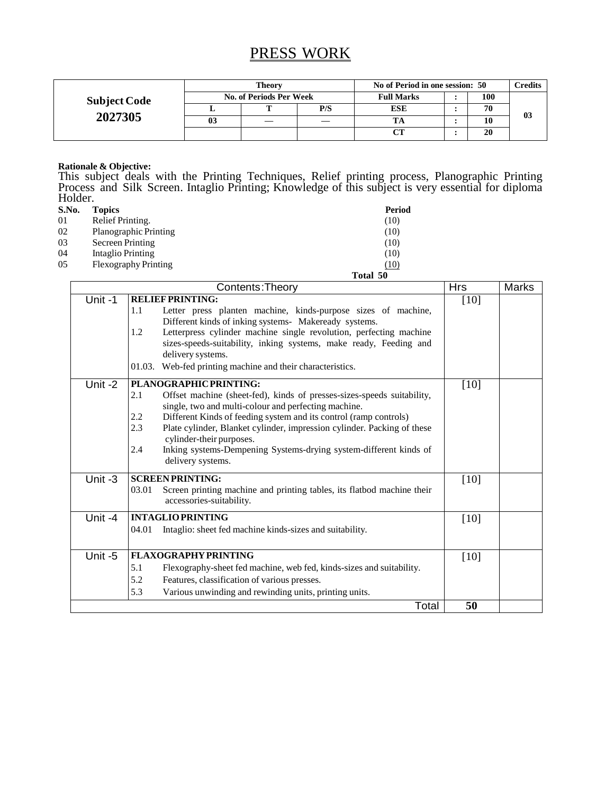# PRESS WORK

| <b>Subject Code</b> | Theory                         |   |     | No of Period in one session: 50 |  |     | <b>Tredits</b> |
|---------------------|--------------------------------|---|-----|---------------------------------|--|-----|----------------|
|                     | <b>No. of Periods Per Week</b> |   |     | <b>Full Marks</b>               |  | 100 |                |
|                     |                                | m | P/S | <b>ESE</b>                      |  | 70  |                |
| 2027305             | 03                             |   |     |                                 |  | 10  | 03             |
|                     |                                |   |     | CТ                              |  | 20  |                |

#### **Rationale & Objective:**

This subject deals with the Printing Techniques, Relief printing process, Planographic Printing Process and Silk Screen. Intaglio Printing; Knowledge of this subject is very essential for diploma Holder.

| S.No. | <b>Topics</b>                | Period   |
|-------|------------------------------|----------|
| 01    | Relief Printing.             | (10)     |
| 02    | <b>Planographic Printing</b> | (10)     |
| 03    | Secreen Printing             | (10)     |
| 04    | Intaglio Printing            | (10)     |
| 05    | Flexography Printing         | (10)     |
|       |                              | Total 50 |

|         | Contents: Theory                                                                                                                                                                                                                                                                                                                                                                                                                                          | <b>Hrs</b> | <b>Marks</b> |
|---------|-----------------------------------------------------------------------------------------------------------------------------------------------------------------------------------------------------------------------------------------------------------------------------------------------------------------------------------------------------------------------------------------------------------------------------------------------------------|------------|--------------|
| Unit-1  | <b>RELIEF PRINTING:</b><br>1.1<br>Letter press planten machine, kinds-purpose sizes of machine,<br>Different kinds of inking systems- Makeready systems.<br>Letterpress cylinder machine single revolution, perfecting machine<br>1.2<br>sizes-speeds-suitability, inking systems, make ready, Feeding and<br>delivery systems.<br>Web-fed printing machine and their characteristics.<br>01.03.                                                          | $[10]$     |              |
| Unit-2  | PLANOGRAPHICPRINTING:<br>2.1<br>Offset machine (sheet-fed), kinds of presses-sizes-speeds suitability,<br>single, two and multi-colour and perfecting machine.<br>2.2<br>Different Kinds of feeding system and its control (ramp controls)<br>2.3<br>Plate cylinder, Blanket cylinder, impression cylinder. Packing of these<br>cylinder-their purposes.<br>Inking systems-Dempening Systems-drying system-different kinds of<br>2.4<br>delivery systems. | $[10]$     |              |
| Unit -3 | <b>SCREEN PRINTING:</b><br>03.01<br>Screen printing machine and printing tables, its flatbod machine their<br>accessories-suitability.                                                                                                                                                                                                                                                                                                                    | $[10]$     |              |
| Unit-4  | <b>INTAGLIO PRINTING</b><br>Intaglio: sheet fed machine kinds-sizes and suitability.<br>04.01                                                                                                                                                                                                                                                                                                                                                             | [10]       |              |
| Unit -5 | <b>FLAXOGRAPHY PRINTING</b><br>5.1<br>Flexography-sheet fed machine, web fed, kinds-sizes and suitability.<br>5.2<br>Features, classification of various presses.<br>5.3<br>Various unwinding and rewinding units, printing units.                                                                                                                                                                                                                        | [10]       |              |
|         | Total                                                                                                                                                                                                                                                                                                                                                                                                                                                     | 50         |              |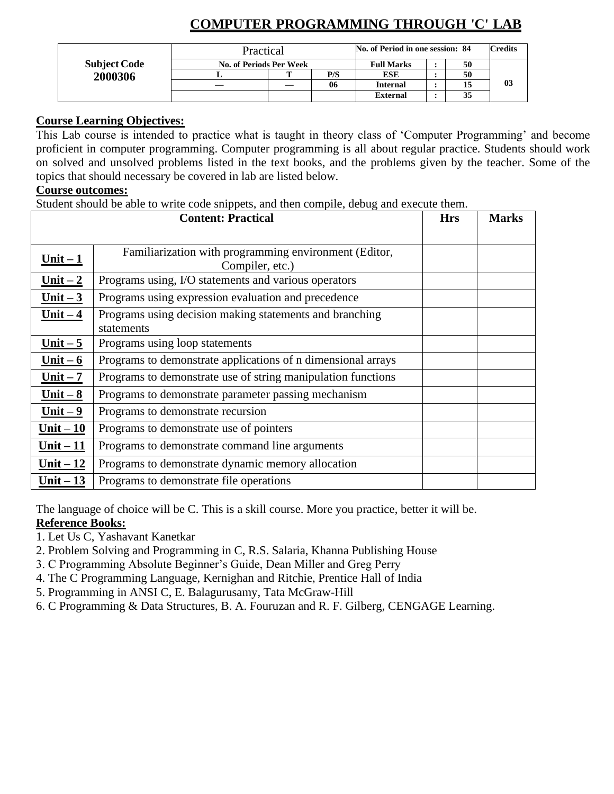|                     | Practical                      |  |     | No. of Period in one session: 84 |  | <b>Credits</b> |    |
|---------------------|--------------------------------|--|-----|----------------------------------|--|----------------|----|
| <b>Subject Code</b> | <b>No. of Periods Per Week</b> |  |     | <b>Full Marks</b>                |  | 50             |    |
| 2000306             |                                |  | P/S | <b>ESE</b>                       |  | 50             |    |
|                     |                                |  | 06  | <b>Internal</b>                  |  |                | 03 |
|                     |                                |  |     | External                         |  | 35             |    |

## **COMPUTER PROGRAMMING THROUGH 'C' LAB**

### **Course Learning Objectives:**

This Lab course is intended to practice what is taught in theory class of 'Computer Programming' and become proficient in computer programming. Computer programming is all about regular practice. Students should work on solved and unsolved problems listed in the text books, and the problems given by the teacher. Some of the topics that should necessary be covered in lab are listed below.

### **Course outcomes:**

Student should be able to write code snippets, and then compile, debug and execute them.

|            | <b>Content: Practical</b>                                                | <b>Hrs</b> | <b>Marks</b> |
|------------|--------------------------------------------------------------------------|------------|--------------|
|            |                                                                          |            |              |
| $Unit - 1$ | Familiarization with programming environment (Editor,<br>Compiler, etc.) |            |              |
| Unit $-2$  | Programs using, I/O statements and various operators                     |            |              |
| Unit $-3$  | Programs using expression evaluation and precedence                      |            |              |
| Unit $-4$  | Programs using decision making statements and branching<br>statements    |            |              |
| Unit $-5$  | Programs using loop statements                                           |            |              |
| Unit $-6$  | Programs to demonstrate applications of n dimensional arrays             |            |              |
| Unit $-7$  | Programs to demonstrate use of string manipulation functions             |            |              |
| Unit $-8$  | Programs to demonstrate parameter passing mechanism                      |            |              |
| Unit $-9$  | Programs to demonstrate recursion                                        |            |              |
| Unit $-10$ | Programs to demonstrate use of pointers                                  |            |              |
| Unit $-11$ | Programs to demonstrate command line arguments                           |            |              |
| Unit $-12$ | Programs to demonstrate dynamic memory allocation                        |            |              |
| Unit $-13$ | Programs to demonstrate file operations                                  |            |              |

The language of choice will be C. This is a skill course. More you practice, better it will be.

### **Reference Books:**

- 1. Let Us C, Yashavant Kanetkar
- 2. Problem Solving and Programming in C, R.S. Salaria, Khanna Publishing House
- 3. C Programming Absolute Beginner's Guide, Dean Miller and Greg Perry
- 4. The C Programming Language, Kernighan and Ritchie, Prentice Hall of India
- 5. Programming in ANSI C, E. Balagurusamy, Tata McGraw-Hill
- 6. C Programming & Data Structures, B. A. Fouruzan and R. F. Gilberg, CENGAGE Learning.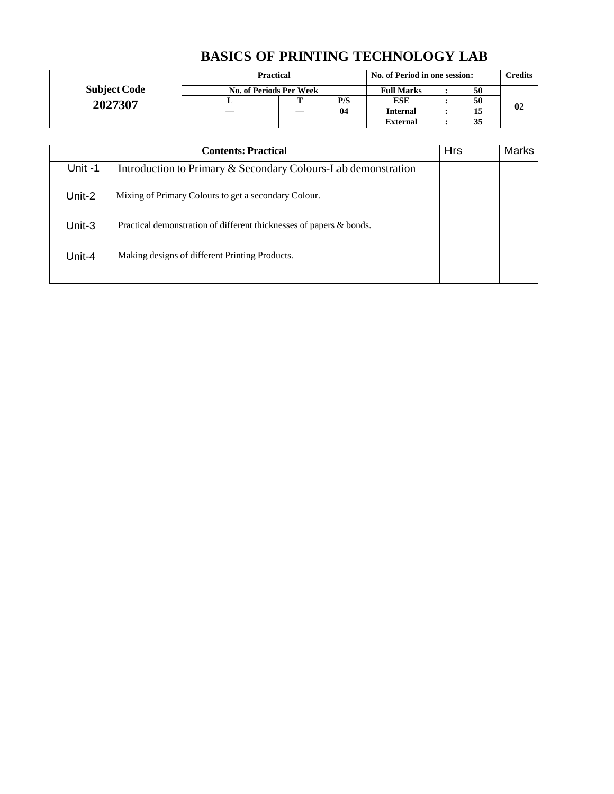# **BASICS OF PRINTING TECHNOLOGY LAB**

|                                | <b>Practical</b>        | No. of Period in one session: |                 |    | <b>Credits</b> |    |
|--------------------------------|-------------------------|-------------------------------|-----------------|----|----------------|----|
| <b>Subject Code</b><br>2027307 | No. of Periods Per Week | <b>Full Marks</b>             |                 | 50 |                |    |
|                                |                         | P/S                           | ESE             |    | 50             |    |
|                                |                         | 04                            | <b>Internal</b> |    |                | 02 |
|                                |                         |                               | <b>External</b> |    | 35             |    |

|        | <b>Contents: Practical</b>                                          | <b>Hrs</b> | Marks |
|--------|---------------------------------------------------------------------|------------|-------|
| Unit-1 | Introduction to Primary & Secondary Colours-Lab demonstration       |            |       |
| Unit-2 | Mixing of Primary Colours to get a secondary Colour.                |            |       |
| Unit-3 | Practical demonstration of different thicknesses of papers & bonds. |            |       |
| Unit-4 | Making designs of different Printing Products.                      |            |       |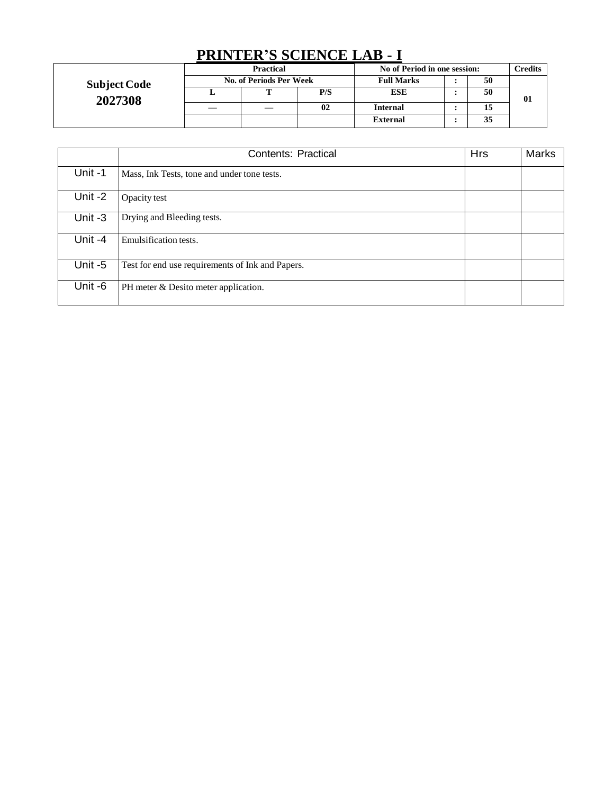## **PRINTER'S SCIENCE LAB - I**

| <b>Subject Code</b><br>2027308 | <b>Practical</b>        |  |     | No of Period in one session: |  |    | Credits |
|--------------------------------|-------------------------|--|-----|------------------------------|--|----|---------|
|                                | No. of Periods Per Week |  |     | <b>Full Marks</b>            |  | 50 |         |
|                                |                         |  | P/S | <b>ESE</b>                   |  | 50 | 01      |
|                                |                         |  | 02  | Internal                     |  | 15 |         |
|                                |                         |  |     | <b>External</b>              |  | 35 |         |

|         | Contents: Practical                              | <b>Hrs</b> | <b>Marks</b> |
|---------|--------------------------------------------------|------------|--------------|
| Unit -1 | Mass, Ink Tests, tone and under tone tests.      |            |              |
| Unit -2 | Opacity test                                     |            |              |
| Unit -3 | Drying and Bleeding tests.                       |            |              |
| Unit -4 | Emulsification tests.                            |            |              |
| Unit -5 | Test for end use requirements of Ink and Papers. |            |              |
| Unit -6 | PH meter & Desito meter application.             |            |              |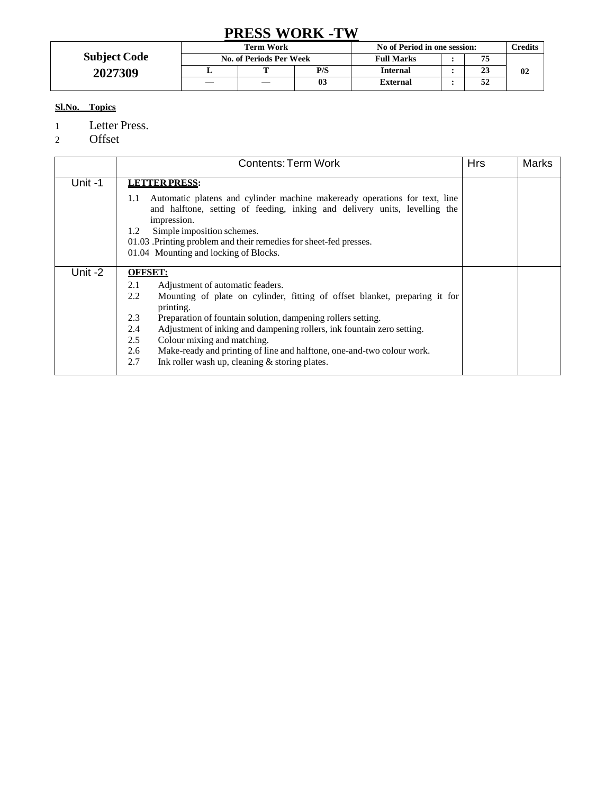## **PRESS WORK -TW**

|                     | <b>Term Work</b>               |  |     | No of Period in one session: |  |    | <b>Credits</b> |
|---------------------|--------------------------------|--|-----|------------------------------|--|----|----------------|
| <b>Subject Code</b> | <b>No. of Periods Per Week</b> |  |     | <b>Full Marks</b>            |  | 75 |                |
| 2027309             | ᅩ                              |  | P/S | <b>Internal</b>              |  | 23 | 02             |
|                     |                                |  | 03  | <b>External</b>              |  | 52 |                |

### **Sl.No. Topics**

1 Letter Press.

2 Offset

|         | <b>Contents: Term Work</b>                                                                                                                                                                                                                                                                                                        | <b>Hrs</b> | Marks |
|---------|-----------------------------------------------------------------------------------------------------------------------------------------------------------------------------------------------------------------------------------------------------------------------------------------------------------------------------------|------------|-------|
| Unit-1  | <b>LETTER PRESS:</b>                                                                                                                                                                                                                                                                                                              |            |       |
|         | Automatic platens and cylinder machine makeready operations for text, line<br>1.1<br>and halftone, setting of feeding, inking and delivery units, levelling the<br>impression.<br>Simple imposition schemes.<br>1.2<br>01.03. Printing problem and their remedies for sheet-fed presses.<br>01.04 Mounting and locking of Blocks. |            |       |
| Unit -2 | <b>OFFSET:</b>                                                                                                                                                                                                                                                                                                                    |            |       |
|         | 2.1<br>Adjustment of automatic feaders.                                                                                                                                                                                                                                                                                           |            |       |
|         | 2.2<br>Mounting of plate on cylinder, fitting of offset blanket, preparing it for<br>printing.                                                                                                                                                                                                                                    |            |       |
|         | 2.3<br>Preparation of fountain solution, dampening rollers setting.                                                                                                                                                                                                                                                               |            |       |
|         | Adjustment of inking and dampening rollers, ink fountain zero setting.<br>2.4                                                                                                                                                                                                                                                     |            |       |
|         | Colour mixing and matching.<br>2.5                                                                                                                                                                                                                                                                                                |            |       |
|         | Make-ready and printing of line and halftone, one-and-two colour work.<br>2.6                                                                                                                                                                                                                                                     |            |       |
|         | 2.7<br>Ink roller wash up, cleaning & storing plates.                                                                                                                                                                                                                                                                             |            |       |